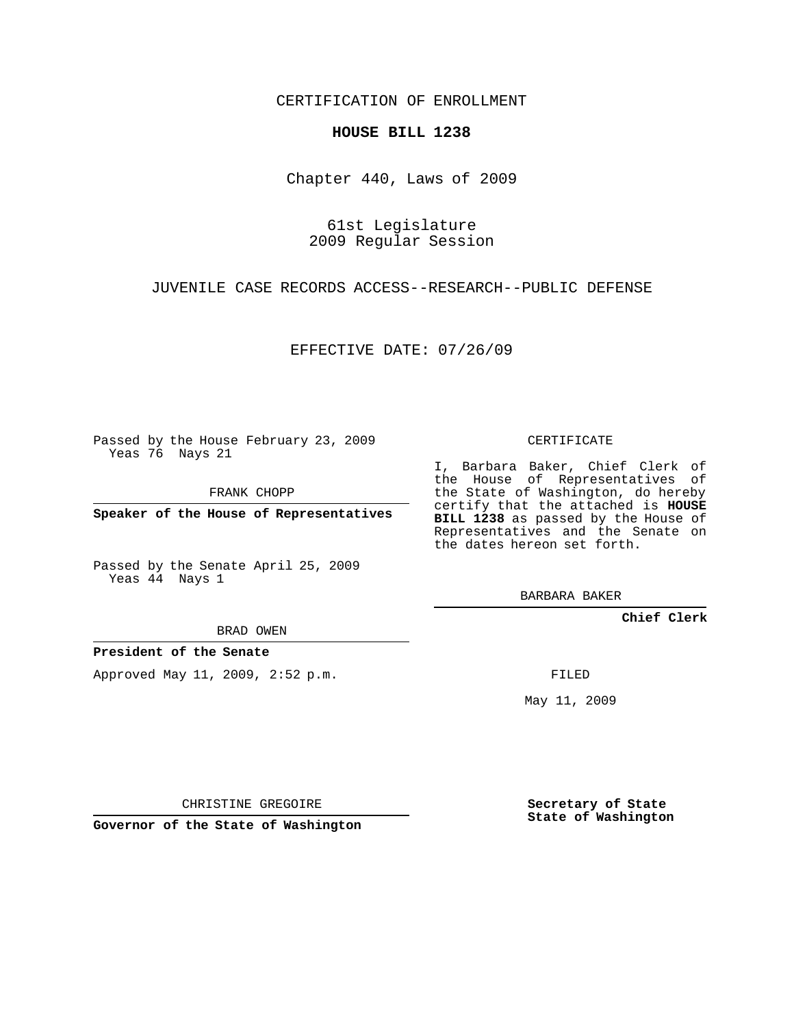CERTIFICATION OF ENROLLMENT

## **HOUSE BILL 1238**

Chapter 440, Laws of 2009

61st Legislature 2009 Regular Session

JUVENILE CASE RECORDS ACCESS--RESEARCH--PUBLIC DEFENSE

EFFECTIVE DATE: 07/26/09

Passed by the House February 23, 2009 Yeas 76 Nays 21

FRANK CHOPP

**Speaker of the House of Representatives**

Passed by the Senate April 25, 2009 Yeas 44 Nays 1

BRAD OWEN

**President of the Senate**

Approved May 11, 2009, 2:52 p.m.

CERTIFICATE

I, Barbara Baker, Chief Clerk of the House of Representatives of the State of Washington, do hereby certify that the attached is **HOUSE BILL 1238** as passed by the House of Representatives and the Senate on the dates hereon set forth.

BARBARA BAKER

**Chief Clerk**

FILED

May 11, 2009

**Secretary of State State of Washington**

CHRISTINE GREGOIRE

**Governor of the State of Washington**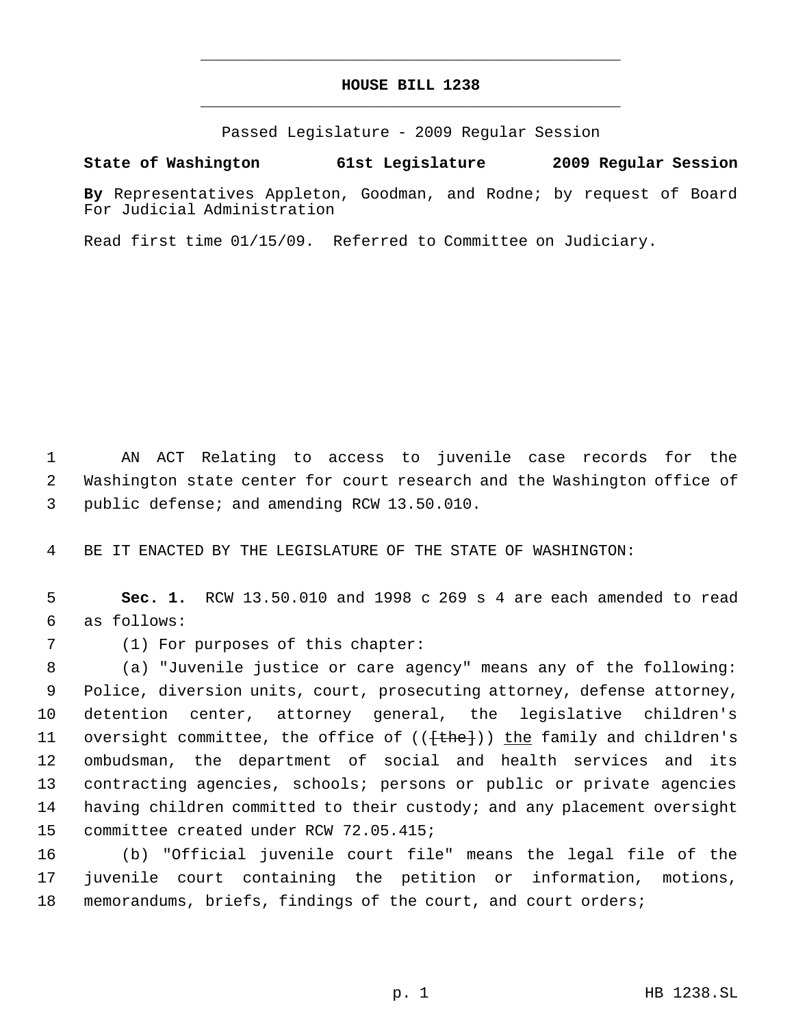## **HOUSE BILL 1238** \_\_\_\_\_\_\_\_\_\_\_\_\_\_\_\_\_\_\_\_\_\_\_\_\_\_\_\_\_\_\_\_\_\_\_\_\_\_\_\_\_\_\_\_\_

\_\_\_\_\_\_\_\_\_\_\_\_\_\_\_\_\_\_\_\_\_\_\_\_\_\_\_\_\_\_\_\_\_\_\_\_\_\_\_\_\_\_\_\_\_

Passed Legislature - 2009 Regular Session

## **State of Washington 61st Legislature 2009 Regular Session**

**By** Representatives Appleton, Goodman, and Rodne; by request of Board For Judicial Administration

Read first time 01/15/09. Referred to Committee on Judiciary.

 AN ACT Relating to access to juvenile case records for the Washington state center for court research and the Washington office of public defense; and amending RCW 13.50.010.

BE IT ENACTED BY THE LEGISLATURE OF THE STATE OF WASHINGTON:

 **Sec. 1.** RCW 13.50.010 and 1998 c 269 s 4 are each amended to read as follows:

(1) For purposes of this chapter:

 (a) "Juvenile justice or care agency" means any of the following: Police, diversion units, court, prosecuting attorney, defense attorney, detention center, attorney general, the legislative children's 11 oversight committee, the office of ((<del>[the]</del>)) the family and children's ombudsman, the department of social and health services and its contracting agencies, schools; persons or public or private agencies having children committed to their custody; and any placement oversight committee created under RCW 72.05.415;

 (b) "Official juvenile court file" means the legal file of the juvenile court containing the petition or information, motions, memorandums, briefs, findings of the court, and court orders;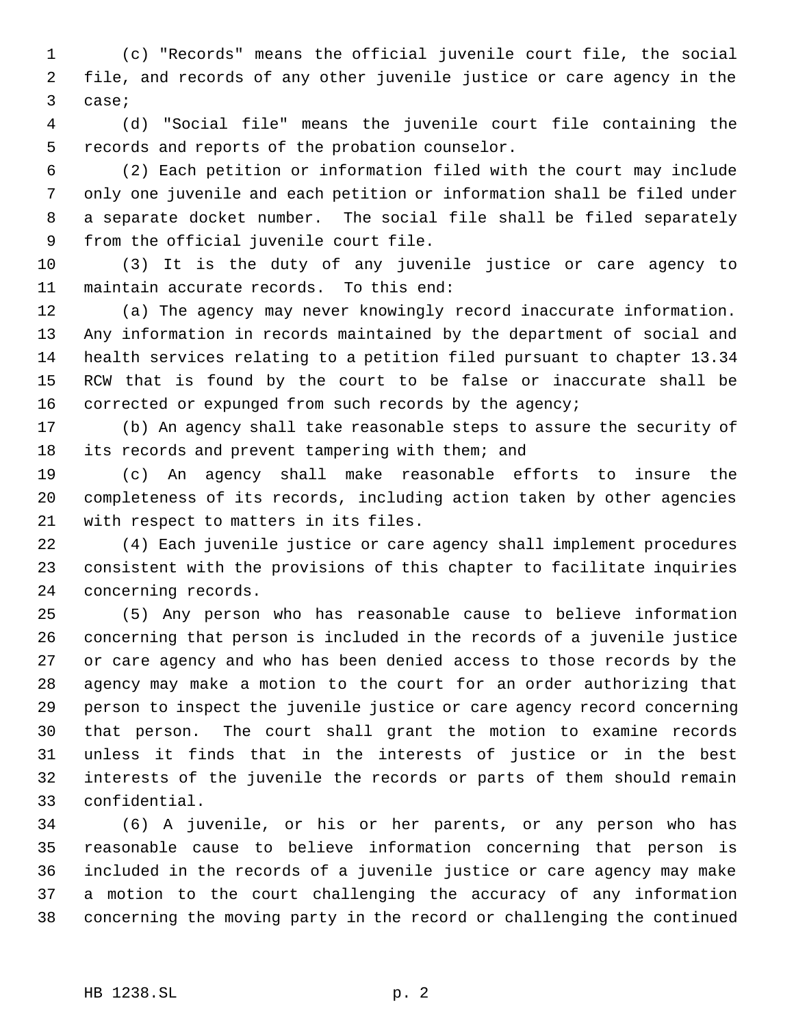(c) "Records" means the official juvenile court file, the social file, and records of any other juvenile justice or care agency in the case;

 (d) "Social file" means the juvenile court file containing the records and reports of the probation counselor.

 (2) Each petition or information filed with the court may include only one juvenile and each petition or information shall be filed under a separate docket number. The social file shall be filed separately from the official juvenile court file.

 (3) It is the duty of any juvenile justice or care agency to maintain accurate records. To this end:

 (a) The agency may never knowingly record inaccurate information. Any information in records maintained by the department of social and health services relating to a petition filed pursuant to chapter 13.34 RCW that is found by the court to be false or inaccurate shall be corrected or expunged from such records by the agency;

 (b) An agency shall take reasonable steps to assure the security of its records and prevent tampering with them; and

 (c) An agency shall make reasonable efforts to insure the completeness of its records, including action taken by other agencies with respect to matters in its files.

 (4) Each juvenile justice or care agency shall implement procedures consistent with the provisions of this chapter to facilitate inquiries concerning records.

 (5) Any person who has reasonable cause to believe information concerning that person is included in the records of a juvenile justice or care agency and who has been denied access to those records by the agency may make a motion to the court for an order authorizing that person to inspect the juvenile justice or care agency record concerning that person. The court shall grant the motion to examine records unless it finds that in the interests of justice or in the best interests of the juvenile the records or parts of them should remain confidential.

 (6) A juvenile, or his or her parents, or any person who has reasonable cause to believe information concerning that person is included in the records of a juvenile justice or care agency may make a motion to the court challenging the accuracy of any information concerning the moving party in the record or challenging the continued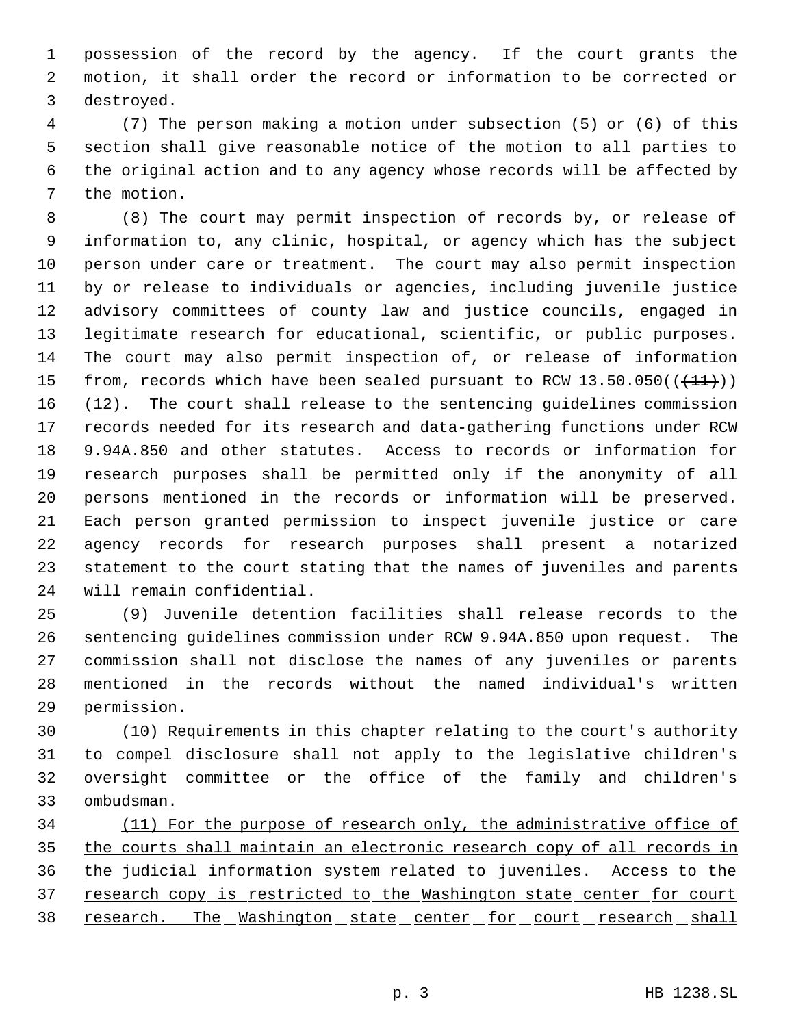possession of the record by the agency. If the court grants the motion, it shall order the record or information to be corrected or destroyed.

 (7) The person making a motion under subsection (5) or (6) of this section shall give reasonable notice of the motion to all parties to the original action and to any agency whose records will be affected by the motion.

 (8) The court may permit inspection of records by, or release of information to, any clinic, hospital, or agency which has the subject person under care or treatment. The court may also permit inspection by or release to individuals or agencies, including juvenile justice advisory committees of county law and justice councils, engaged in legitimate research for educational, scientific, or public purposes. The court may also permit inspection of, or release of information 15 from, records which have been sealed pursuant to RCW  $13.50.050((+11))$  $(12)$ . The court shall release to the sentencing guidelines commission records needed for its research and data-gathering functions under RCW 9.94A.850 and other statutes. Access to records or information for research purposes shall be permitted only if the anonymity of all persons mentioned in the records or information will be preserved. Each person granted permission to inspect juvenile justice or care agency records for research purposes shall present a notarized statement to the court stating that the names of juveniles and parents will remain confidential.

 (9) Juvenile detention facilities shall release records to the sentencing guidelines commission under RCW 9.94A.850 upon request. The commission shall not disclose the names of any juveniles or parents mentioned in the records without the named individual's written permission.

 (10) Requirements in this chapter relating to the court's authority to compel disclosure shall not apply to the legislative children's oversight committee or the office of the family and children's ombudsman.

 (11) For the purpose of research only, the administrative office of the courts shall maintain an electronic research copy of all records in the judicial information system related to juveniles. Access to the 37 research copy is restricted to the Washington state center for court 38 research. The Washington state center for court research shall